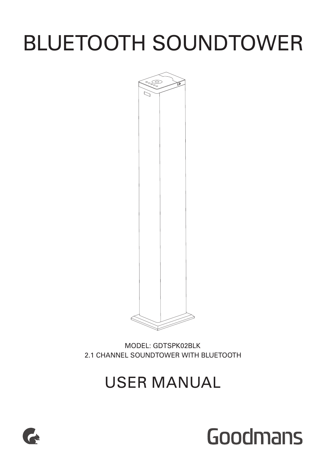# Goodmans

## USER MANUAL

MODEL: GDTSPK02BLK 2.1 CHANNEL SOUNDTOWER WITH BLUETOOTH



# BLUETOOTH SOUNDTOWER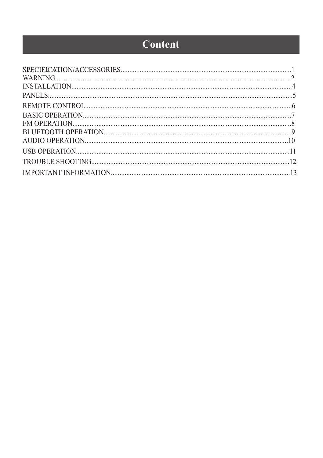## Content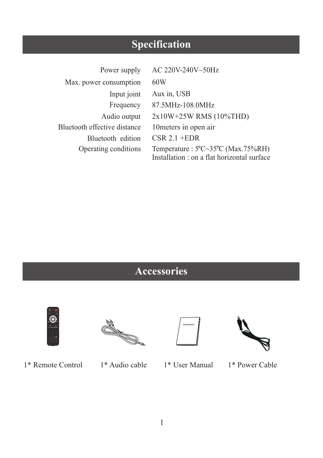## **Specification**

| Power supply                 | AC 220V-240V~50Hz                                                                |
|------------------------------|----------------------------------------------------------------------------------|
| Max. power consumption       | 60W                                                                              |
| Input joint                  | Aux in, USB                                                                      |
| Frequency                    | 87.5MHz-108.0MHz                                                                 |
| Audio output                 | 2x10W+25W RMS (10%THD)                                                           |
| Bluetooth effective distance | 10 meters in open air                                                            |
| Bluetooth edition            | $CSR 2.1 + EDR$                                                                  |
| Operating conditions         | Temperature: 5°C~35°C (Max.75%RH)<br>Installation : on a flat horizontal surface |

## **Accessories**









1\* Remote Control 1\* Audio cable 1\* User Manual

1\* Power Cable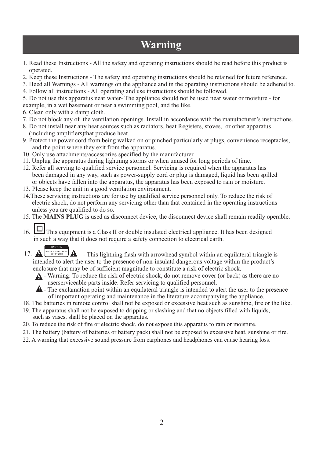## **Warning**

- 1. Read these Instructions All the safety and operating instructions should be read before this product is operated.
- 2. Keep these Instructions The safety and operating instructions should be retained for future reference.
- 3. Heed all Warnings All warnings on the appliance and in the operating instructions should be adhered to.
- 4. Follow all instructions All operating and use instructions should be followed.
- 5. Do not use this apparatus near water- The appliance should not be used near water or moisture for example, in a wet basement or near a swimming pool, and the like.
- 6. Clean only with a damp cloth.
- 7. Do not block any of the ventilation openings. Install in accordance with the manufacturer's instructions.
- 8. Do not install near any heat sources such as radiators, heat Registers, stoves, or other apparatus (including amplifiers)that produce heat.
- 9. Protect the power cord from being walked on or pinched particularly at plugs, convenience receptacles, and the point where they exit from the apparatus.
- 10. Only use attachments/accessories specified by the manufacturer.
- 11. Unplug the apparatus during lightning storms or when unused for long periods of time.
- been damaged in any way, such as power-supply cord or plug is damaged, liquid has been spilled or objects have fallen into the apparatus, the apparatus has been exposed to rain or moisture. 12. Refer all serving to qualified service personnel. Servicing is required when the apparatus has
- 13. Please keep the unit in a good ventilation environment.
- 14.These servicing instructions are for use by qualified service personnel only. To reduce the risk of electric shock, do not perform any servicing other than that contained in the operating instructions unless you are qualified to do so.
- 15. The **MAINS PLUG** is used as disconnect device, the disconnect device shall remain readily operable.
- 16. **This equipment is a Class II or double insulated electrical appliance**. It has been designed in such a way that it does not require a safety connection to electrical earth.
- 17.  $\mathbf{A}$   $\left[\text{non-odd}\right]$   $\mathbf{A}$  This lightning flash with arrowhead symbol within an equilateral triangle is intended to alert the user to the presence of non-insulatd dangerous voltage within the product's enclosure that may be of sufficient magnitude to constitute a risk of electric shock.
	- A Warning: To reduce the risk of electric shock, do not remove cover (or back) as there are no userserviceable parts inside. Refer servicing to qualified personnel.
	- A The exclamation point within an equilateral triangle is intended to alert the user to the presence of important operating and maintenance in the literature accompanying the appliance.
- 18. The batteries in remote control shall not be exposed or excessive heat such as sunshine, fire or the like.
- 19. The apparatus shall not be exposed to dripping or slashing and that no objects filled with liquids, such as vases, shall be placed on the apparatus.
- 20. To reduce the risk of fire or electric shock, do not expose this apparatus to rain or moisture.
- 21. The battery (battery of batteries or battery pack) shall not be exposed to excessive heat, sunshine or fire.
- 22. A warning that excessive sound pressure from earphones and headphones can cause hearing loss.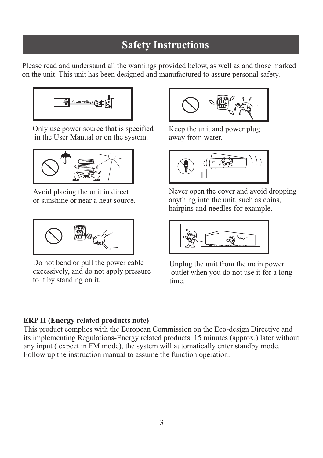## **Safety Instructions**

Please read and understand all the warnings provided below, as well as and those marked on the unit. This unit has been designed and manufactured to assure personal safety.



Only use power source that is specified in the User Manual or on the system.



Avoid placing the unit in direct or sunshine or near a heat source.



Do not bend or pull the power cable excessively, and do not apply pressure to it by standing on it.



Keep the unit and power plug away from water.



Never open the cover and avoid dropping anything into the unit, such as coins, hairpins and needles for example.



Unplug the unit from the main power outlet when you do not use it for a long time.

#### **ERP II (Energy related products note)**

This product complies with the European Commission on the Eco-design Directive and its implementing Regulations-Energy related products. 15 minutes (approx.) later without any input ( expect in FM mode), the system will automatically enter standby mode. Follow up the instruction manual to assume the function operation.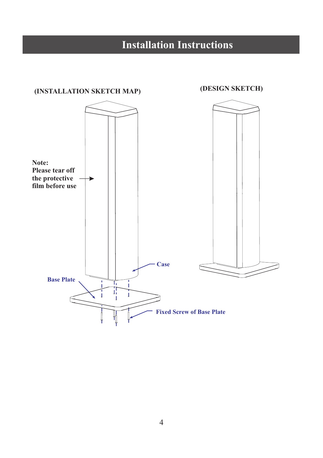## **Installation Instructions**

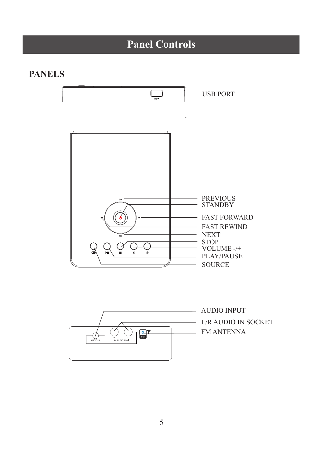## **Panel Controls**

### **PANELS**





AUDIO INPUT L/R AUDIO IN SOCKET FM ANTENNA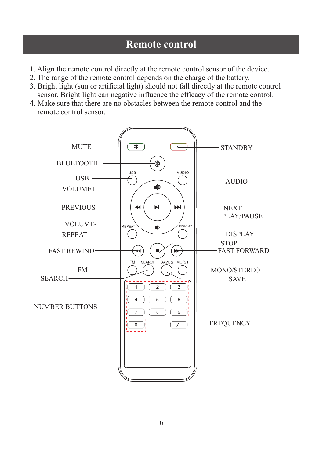### **Remote control**

- 1. Align the remote control directly at the remote control sensor of the device.
- 2. The range of the remote control depends on the charge of the battery.
- 3. Bright light (sun or artificial light) should not fall directly at the remote control sensor. Bright light can negative influence the efficacy of the remote control.
- 4. Make sure that there are no obstacles between the remote control and the remote control sensor.

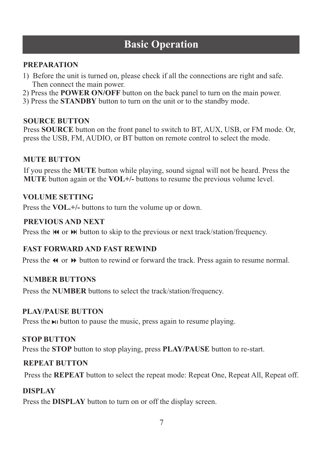## **Basic Operation**

#### **PREPARATION**

- 1) Before the unit is turned on, please check if all the connections are right and safe. Then connect the main power.
- 2) Press the **POWER ON/OFF** button on the back panel to turn on the main power.
- 3) Press the **STANDBY** button to turn on the unit or to the standby mode.

#### **SOURCE BUTTON**

Press **SOURCE** button on the front panel to switch to BT, AUX, USB, or FM mode. Or, press the USB, FM, AUDIO, or BT button on remote control to select the mode.

#### **MUTE BUTTON**

If you press the **MUTE** button while playing, sound signal will not be heard. Press the **MUTE** button again or the **VOL+/-** buttons to resume the previous volume level.

#### **VOLUME SETTING**

Press the **VOL.+/-** buttons to turn the volume up or down.

#### **PREVIOUS AND NEXT**

Press the  $\mathsf{M}$  or  $\mathsf{M}$  button to skip to the previous or next track/station/frequency.

#### **FAST FORWARD AND FAST REWIND**

Press the  $\triangleleft \circ \bullet \bullet \bullet$  button to rewind or forward the track. Press again to resume normal.

#### **NUMBER BUTTONS**

Press the **NUMBER** buttons to select the track/station/frequency.

#### **PLAY/PAUSE BUTTON**

Press the  $\mathbf{H}$  button to pause the music, press again to resume playing.

#### **STOP BUTTON**

Press the **STOP** button to stop playing, press **PLAY/PAUSE** button to re-start.

#### **REPEAT BUTTON**

Press the **REPEAT** button to select the repeat mode: Repeat One, Repeat All, Repeat off.

#### **DISPLAY**

Press the **DISPLAY** button to turn on or off the display screen.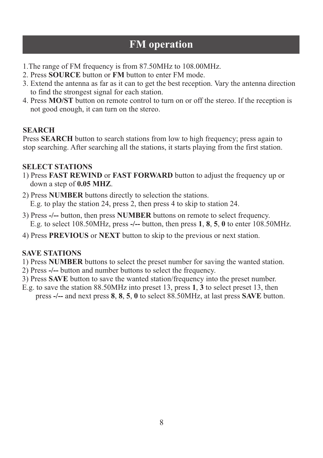## **FM operation**

- 1. The range of FM frequency is from 87.50MHz to 108.00MHz.
- 2. Press **SOURCE** button or **FM** button to enter FM mode.
- 3. Extend the antenna as far as it can to get the best reception. Vary the antenna direction to find the strongest signal for each station.
- 4. Press **MO/ST** button on remote control to turn on or off the stereo. If the reception is not good enough, it can turn on the stereo.

#### **SEARCH**

stop searching. After searching all the stations, it starts playing from the first station. Press **SEARCH** button to search stations from low to high frequency; press again to

#### **SELECT STATIONS**

- 1) Press **FAST REWIND** or **FAST FORWARD** button to adjust the frequency up or down a step of **0.05 MHZ**.
- 2) Press **NUMBER** buttons directly to selection the stations. E.g. to play the station 24, press 2, then press 4 to skip to station 24.
- 3) Press **-/--** button, then press **NUMBER** buttons on remote to select frequency. E.g. to select 108.50MHz, press **-/--** button, then press **1**, **8**, **5**, **0** to enter 108.50MHz.
- 4) Press **PREVIOUS** or **NEXT** button to skip to the previous or next station.

#### **SAVE STATIONS**

- 1) Press **NUMBER** buttons to select the preset number for saving the wanted station.
- 2) Press **-/--** button and number buttons to select the frequency.
- 3) Press **SAVE** button to save the wanted station/frequency into the preset number.
- E.g. to save the station 88.50MHz into preset 13, press **1**, **3** to select preset 13, then press **-/--** and next press **8**, **8**, **5**, **0** to select 88.50MHz, at last press **SAVE** button.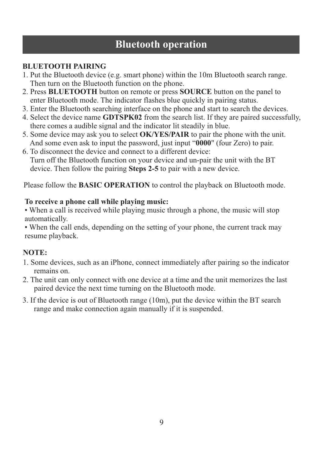## **Bluetooth operation**

#### **BLUETOOTH PAIRING**

- 1. Put the Bluetooth device (e.g. smart phone) within the 10m Bluetooth search range. Then turn on the Bluetooth function on the phone.
- 2. Press **BLUETOOTH** button on remote or press **SOURCE** button on the panel to enter Bluetooth mode. The indicator flashes blue quickly in pairing status.
- 3. Enter the Bluetooth searching interface on the phone and start to search the devices.
- 4. Select the device name **GDTSPK02** from the search list. If they are paired successfully, there comes a audible signal and the indicator lit steadily in blue.
- 5. Some device may ask you to select **OK/YES/PAIR** to pair the phone with the unit. And some even ask to input the password, just input "**0000**" (four Zero) to pair.
- 6. To disconnect the device and connect to a different device: Turn off the Bluetooth function on your device and un-pair the unit with the BT device. Then follow the pairing **Steps 2-5** to pair with a new device.

Please follow the **BASIC OPERATION** to control the playback on Bluetooth mode.

#### **To receive a phone call while playing music:**

• When a call is received while playing music through a phone, the music will stop automatically.

• When the call ends, depending on the setting of your phone, the current track may resume playback.

#### **NOTE:**

- 1. Some devices, such as an iPhone, connect immediately after pairing so the indicator remains on.
- 2. The unit can only connect with one device at a time and the unit memorizes the last paired device the next time turning on the Bluetooth mode.
- 3. If the device is out of Bluetooth range (10m), put the device within the BT search range and make connection again manually if it is suspended.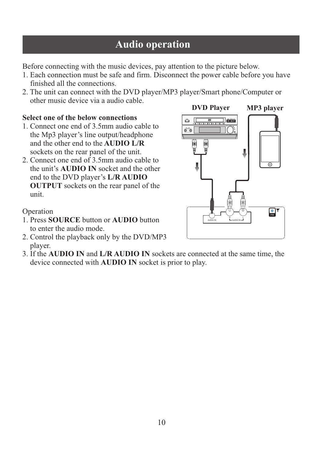## **Audio operation**

Before connecting with the music devices, pay attention to the picture below.

- 1. Each connection must be safe and firm. Disconnect the power cable before you have finished all the connections.
- 2. The unit can connect with the DVD player/MP3 player/Smart phone/Computer or other music device via a audio cable.

#### **Select one of the below connections**

- 1. Connect one end of 3.5mm audio cable to the Mp3 player's line output/headphone and the other end to the **AUDIO L/R** sockets on the rear panel of the unit.
- 2. Connect one end of 3.5mm audio cable to the unit's **AUDIO IN** socket and the other end to the DVD player's **L/R AUDIO OUTPUT** sockets on the rear panel of the unit.

#### Operation

- 1. Press **SOURCE** button or **AUDIO** button to enter the audio mode.
- 2. Control the playback only by the DVD/MP3 player.
- 3. If the **AUDIO IN** and **L/R AUDIO IN** sockets are connected at the same time, the device connected with **AUDIO IN** socket is prior to play.

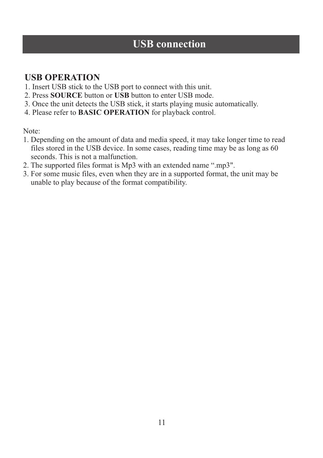## **USB connection**

#### **USB OPERATION**

- 1. Insert USB stick to the USB port to connect with this unit.
- 2. Press **SOURCE** button or **USB** button to enter USB mode.
- 3. Once the unit detects the USB stick, it starts playing music automatically.
- 4. Please refer to **BASIC OPERATION** for playback control.

Note:

- 1. Depending on the amount of data and media speed, it may take longer time to read files stored in the USB device. In some cases, reading time may be as long as 60 seconds. This is not a malfunction.
- 2. The supported files format is Mp3 with an extended name ".mp3".
- 3. For some music files, even when they are in a supported format, the unit may be unable to play because of the format compatibility.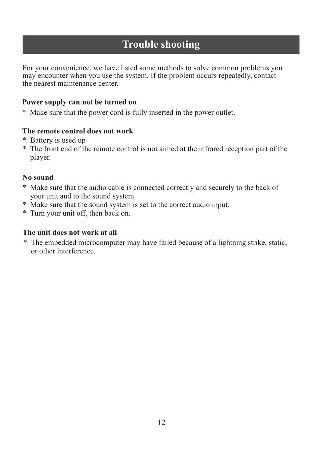## **Trouble shooting**

For your convenience, we have listed some methods to solve common problems you may encounter when you use the system. If the problem occurs repeatedly, contact the nearest maintenance center.

#### **Power supply can not be turned on**

\* Make sure that the power cord is fully inserted in the power outlet.

#### **The remote control does not work**

- \* Battery is used up
- \* The front end of the remote control is not aimed at the infrared reception part of the player.

#### **No sound**

- \* Make sure that the audio cable is connected correctly and securely to the back of your unit and to the sound system.
- \* Make sure that the sound system is set to the correct audio input.
- \* Turn your unit off, then back on.

#### **The unit does not work at all**

\* The embedded microcomputer may have failed because of a lightning strike, static, or other interference.